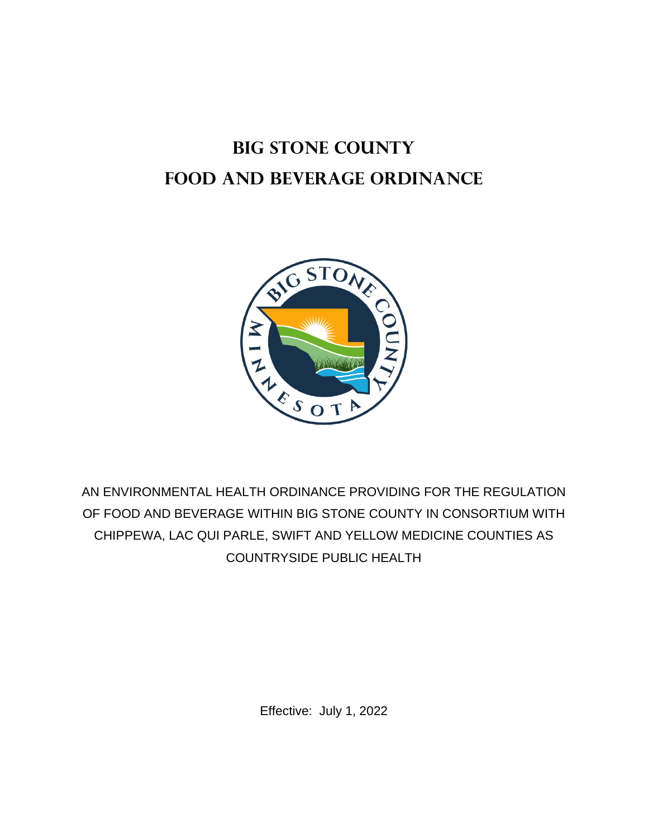# **BIG STONE COUNTY FOOD AND BEVERAGE ORDINANCE**



AN ENVIRONMENTAL HEALTH ORDINANCE PROVIDING FOR THE REGULATION OF FOOD AND BEVERAGE WITHIN BIG STONE COUNTY IN CONSORTIUM WITH CHIPPEWA, LAC QUI PARLE, SWIFT AND YELLOW MEDICINE COUNTIES AS COUNTRYSIDE PUBLIC HEALTH

Effective: July 1, 2022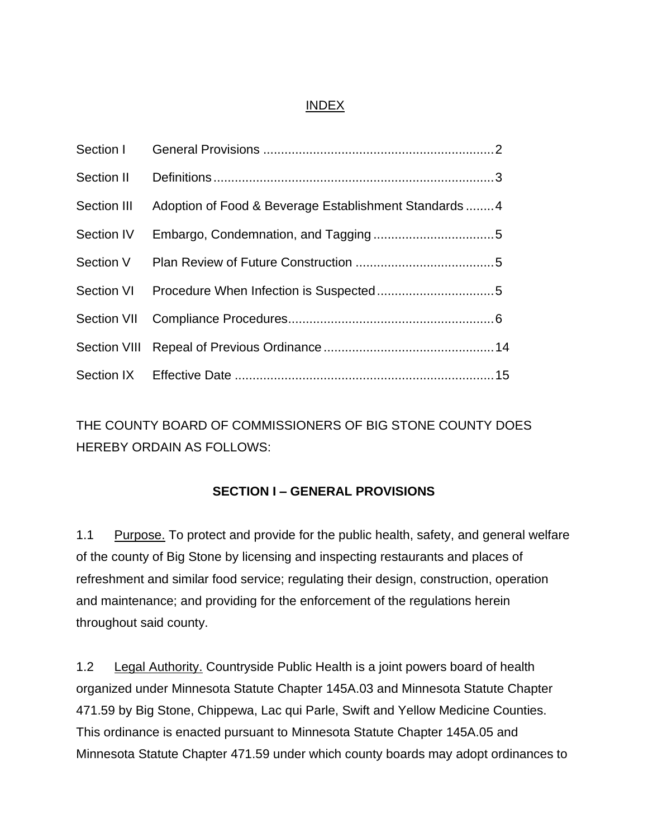#### INDEX

| Section III Adoption of Food & Beverage Establishment Standards4 |  |
|------------------------------------------------------------------|--|
|                                                                  |  |
|                                                                  |  |
|                                                                  |  |
|                                                                  |  |
|                                                                  |  |
|                                                                  |  |

THE COUNTY BOARD OF COMMISSIONERS OF BIG STONE COUNTY DOES HEREBY ORDAIN AS FOLLOWS:

# **SECTION I – GENERAL PROVISIONS**

1.1 Purpose. To protect and provide for the public health, safety, and general welfare of the county of Big Stone by licensing and inspecting restaurants and places of refreshment and similar food service; regulating their design, construction, operation and maintenance; and providing for the enforcement of the regulations herein throughout said county.

1.2 Legal Authority. Countryside Public Health is a joint powers board of health organized under Minnesota Statute Chapter 145A.03 and Minnesota Statute Chapter 471.59 by Big Stone, Chippewa, Lac qui Parle, Swift and Yellow Medicine Counties. This ordinance is enacted pursuant to Minnesota Statute Chapter 145A.05 and Minnesota Statute Chapter 471.59 under which county boards may adopt ordinances to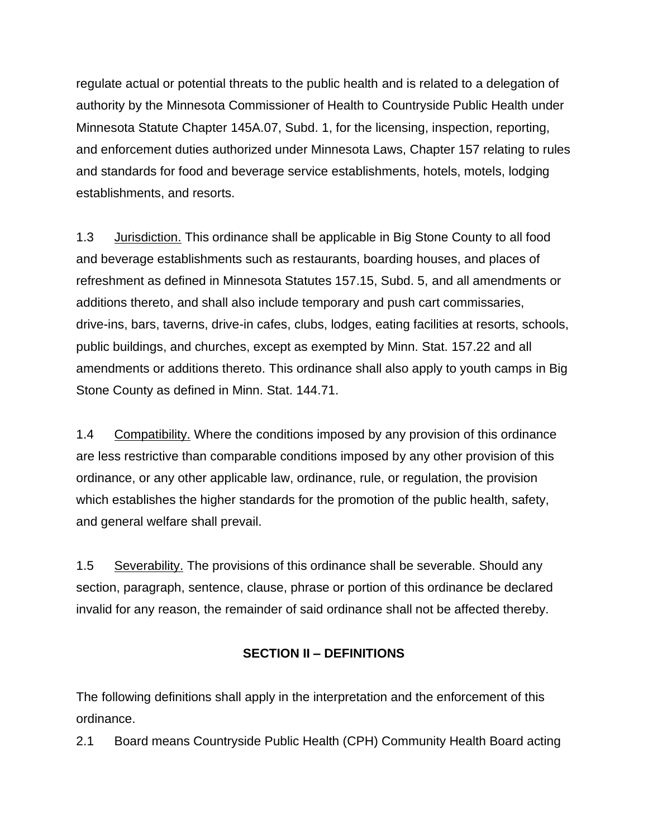regulate actual or potential threats to the public health and is related to a delegation of authority by the Minnesota Commissioner of Health to Countryside Public Health under Minnesota Statute Chapter 145A.07, Subd. 1, for the licensing, inspection, reporting, and enforcement duties authorized under Minnesota Laws, Chapter 157 relating to rules and standards for food and beverage service establishments, hotels, motels, lodging establishments, and resorts.

1.3 Jurisdiction. This ordinance shall be applicable in Big Stone County to all food and beverage establishments such as restaurants, boarding houses, and places of refreshment as defined in Minnesota Statutes 157.15, Subd. 5, and all amendments or additions thereto, and shall also include temporary and push cart commissaries, drive-ins, bars, taverns, drive-in cafes, clubs, lodges, eating facilities at resorts, schools, public buildings, and churches, except as exempted by Minn. Stat. 157.22 and all amendments or additions thereto. This ordinance shall also apply to youth camps in Big Stone County as defined in Minn. Stat. 144.71.

1.4 Compatibility. Where the conditions imposed by any provision of this ordinance are less restrictive than comparable conditions imposed by any other provision of this ordinance, or any other applicable law, ordinance, rule, or regulation, the provision which establishes the higher standards for the promotion of the public health, safety, and general welfare shall prevail.

1.5 Severability. The provisions of this ordinance shall be severable. Should any section, paragraph, sentence, clause, phrase or portion of this ordinance be declared invalid for any reason, the remainder of said ordinance shall not be affected thereby.

# **SECTION II – DEFINITIONS**

The following definitions shall apply in the interpretation and the enforcement of this ordinance.

2.1 Board means Countryside Public Health (CPH) Community Health Board acting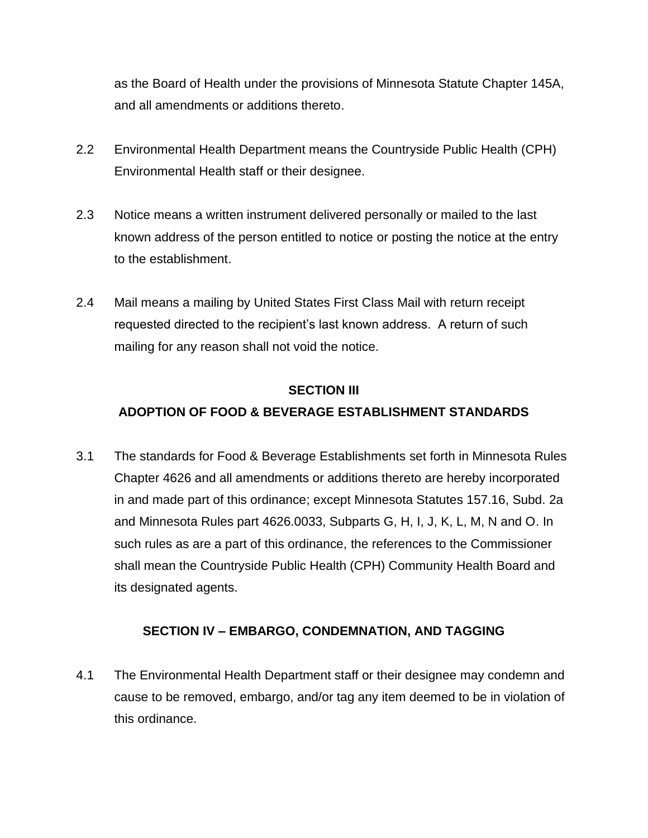as the Board of Health under the provisions of Minnesota Statute Chapter 145A, and all amendments or additions thereto.

- 2.2 Environmental Health Department means the Countryside Public Health (CPH) Environmental Health staff or their designee.
- 2.3 Notice means a written instrument delivered personally or mailed to the last known address of the person entitled to notice or posting the notice at the entry to the establishment.
- 2.4 Mail means a mailing by United States First Class Mail with return receipt requested directed to the recipient's last known address. A return of such mailing for any reason shall not void the notice.

# **SECTION III**

# **ADOPTION OF FOOD & BEVERAGE ESTABLISHMENT STANDARDS**

3.1 The standards for Food & Beverage Establishments set forth in Minnesota Rules Chapter 4626 and all amendments or additions thereto are hereby incorporated in and made part of this ordinance; except Minnesota Statutes 157.16, Subd. 2a and Minnesota Rules part 4626.0033, Subparts G, H, I, J, K, L, M, N and O. In such rules as are a part of this ordinance, the references to the Commissioner shall mean the Countryside Public Health (CPH) Community Health Board and its designated agents.

# **SECTION IV – EMBARGO, CONDEMNATION, AND TAGGING**

4.1 The Environmental Health Department staff or their designee may condemn and cause to be removed, embargo, and/or tag any item deemed to be in violation of this ordinance.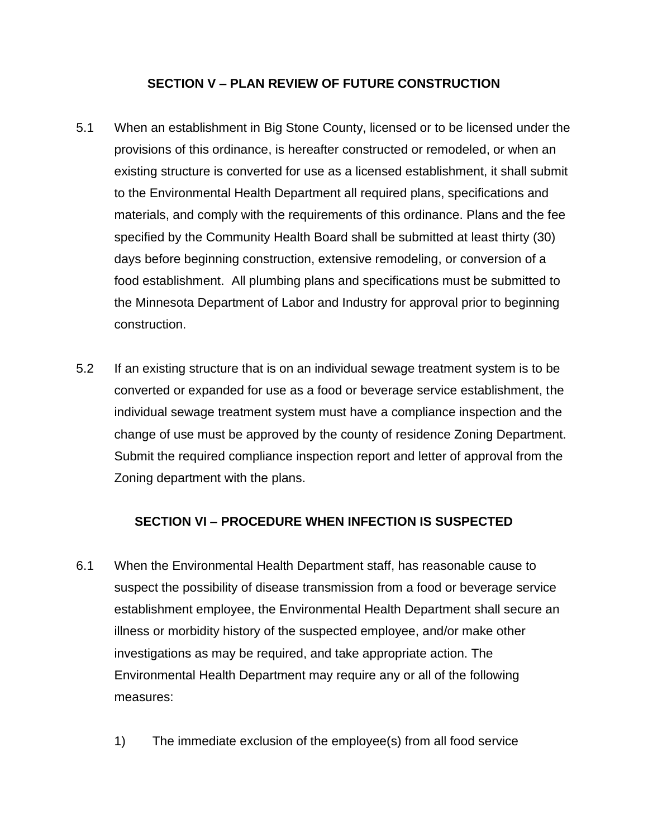#### **SECTION V – PLAN REVIEW OF FUTURE CONSTRUCTION**

- 5.1 When an establishment in Big Stone County, licensed or to be licensed under the provisions of this ordinance, is hereafter constructed or remodeled, or when an existing structure is converted for use as a licensed establishment, it shall submit to the Environmental Health Department all required plans, specifications and materials, and comply with the requirements of this ordinance. Plans and the fee specified by the Community Health Board shall be submitted at least thirty (30) days before beginning construction, extensive remodeling, or conversion of a food establishment. All plumbing plans and specifications must be submitted to the Minnesota Department of Labor and Industry for approval prior to beginning construction.
- 5.2 If an existing structure that is on an individual sewage treatment system is to be converted or expanded for use as a food or beverage service establishment, the individual sewage treatment system must have a compliance inspection and the change of use must be approved by the county of residence Zoning Department. Submit the required compliance inspection report and letter of approval from the Zoning department with the plans.

#### **SECTION VI – PROCEDURE WHEN INFECTION IS SUSPECTED**

- 6.1 When the Environmental Health Department staff, has reasonable cause to suspect the possibility of disease transmission from a food or beverage service establishment employee, the Environmental Health Department shall secure an illness or morbidity history of the suspected employee, and/or make other investigations as may be required, and take appropriate action. The Environmental Health Department may require any or all of the following measures:
	- 1) The immediate exclusion of the employee(s) from all food service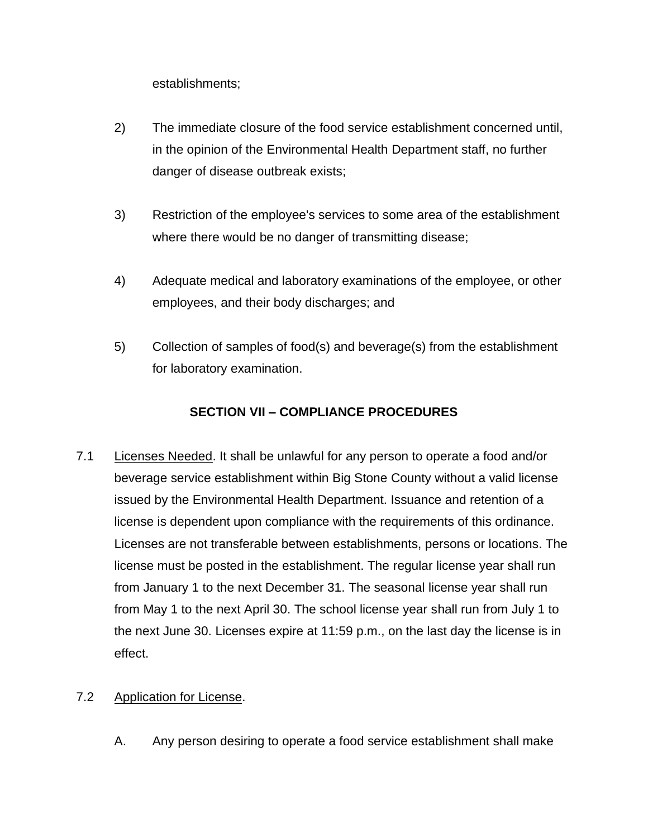establishments;

- 2) The immediate closure of the food service establishment concerned until, in the opinion of the Environmental Health Department staff, no further danger of disease outbreak exists;
- 3) Restriction of the employee's services to some area of the establishment where there would be no danger of transmitting disease;
- 4) Adequate medical and laboratory examinations of the employee, or other employees, and their body discharges; and
- 5) Collection of samples of food(s) and beverage(s) from the establishment for laboratory examination.

# **SECTION VII – COMPLIANCE PROCEDURES**

7.1 Licenses Needed. It shall be unlawful for any person to operate a food and/or beverage service establishment within Big Stone County without a valid license issued by the Environmental Health Department. Issuance and retention of a license is dependent upon compliance with the requirements of this ordinance. Licenses are not transferable between establishments, persons or locations. The license must be posted in the establishment. The regular license year shall run from January 1 to the next December 31. The seasonal license year shall run from May 1 to the next April 30. The school license year shall run from July 1 to the next June 30. Licenses expire at 11:59 p.m., on the last day the license is in effect.

# 7.2 Application for License.

A. Any person desiring to operate a food service establishment shall make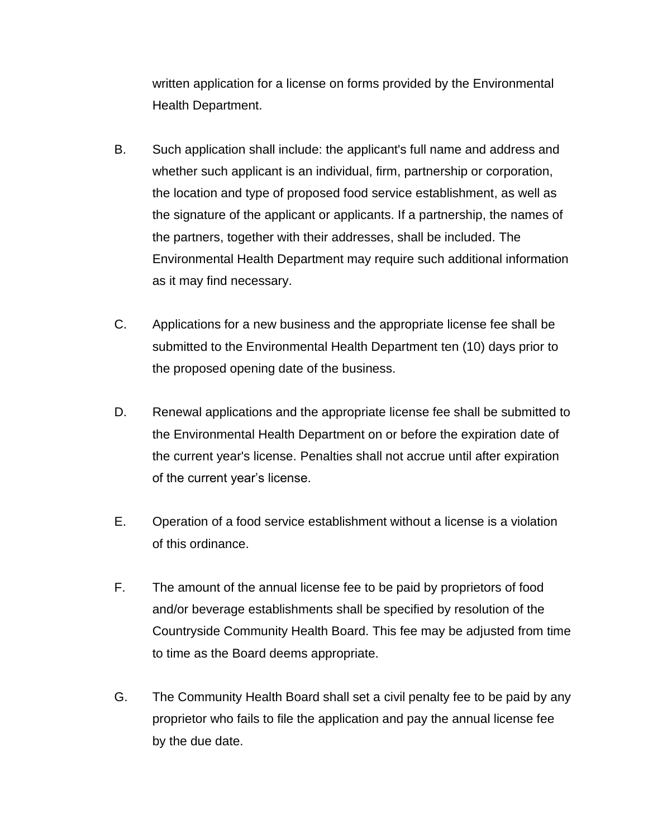written application for a license on forms provided by the Environmental Health Department.

- B. Such application shall include: the applicant's full name and address and whether such applicant is an individual, firm, partnership or corporation, the location and type of proposed food service establishment, as well as the signature of the applicant or applicants. If a partnership, the names of the partners, together with their addresses, shall be included. The Environmental Health Department may require such additional information as it may find necessary.
- C. Applications for a new business and the appropriate license fee shall be submitted to the Environmental Health Department ten (10) days prior to the proposed opening date of the business.
- D. Renewal applications and the appropriate license fee shall be submitted to the Environmental Health Department on or before the expiration date of the current year's license. Penalties shall not accrue until after expiration of the current year's license.
- E. Operation of a food service establishment without a license is a violation of this ordinance.
- F. The amount of the annual license fee to be paid by proprietors of food and/or beverage establishments shall be specified by resolution of the Countryside Community Health Board. This fee may be adjusted from time to time as the Board deems appropriate.
- G. The Community Health Board shall set a civil penalty fee to be paid by any proprietor who fails to file the application and pay the annual license fee by the due date.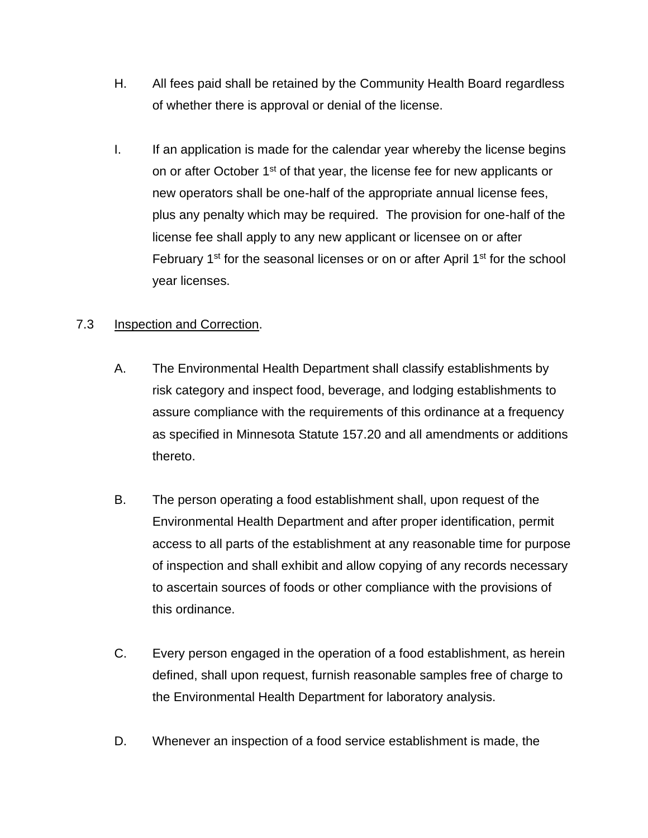- H. All fees paid shall be retained by the Community Health Board regardless of whether there is approval or denial of the license.
- I. If an application is made for the calendar year whereby the license begins on or after October 1<sup>st</sup> of that year, the license fee for new applicants or new operators shall be one-half of the appropriate annual license fees, plus any penalty which may be required. The provision for one-half of the license fee shall apply to any new applicant or licensee on or after February  $1<sup>st</sup>$  for the seasonal licenses or on or after April  $1<sup>st</sup>$  for the school year licenses.

# 7.3 **Inspection and Correction.**

- A. The Environmental Health Department shall classify establishments by risk category and inspect food, beverage, and lodging establishments to assure compliance with the requirements of this ordinance at a frequency as specified in Minnesota Statute 157.20 and all amendments or additions thereto.
- B. The person operating a food establishment shall, upon request of the Environmental Health Department and after proper identification, permit access to all parts of the establishment at any reasonable time for purpose of inspection and shall exhibit and allow copying of any records necessary to ascertain sources of foods or other compliance with the provisions of this ordinance.
- C. Every person engaged in the operation of a food establishment, as herein defined, shall upon request, furnish reasonable samples free of charge to the Environmental Health Department for laboratory analysis.
- D. Whenever an inspection of a food service establishment is made, the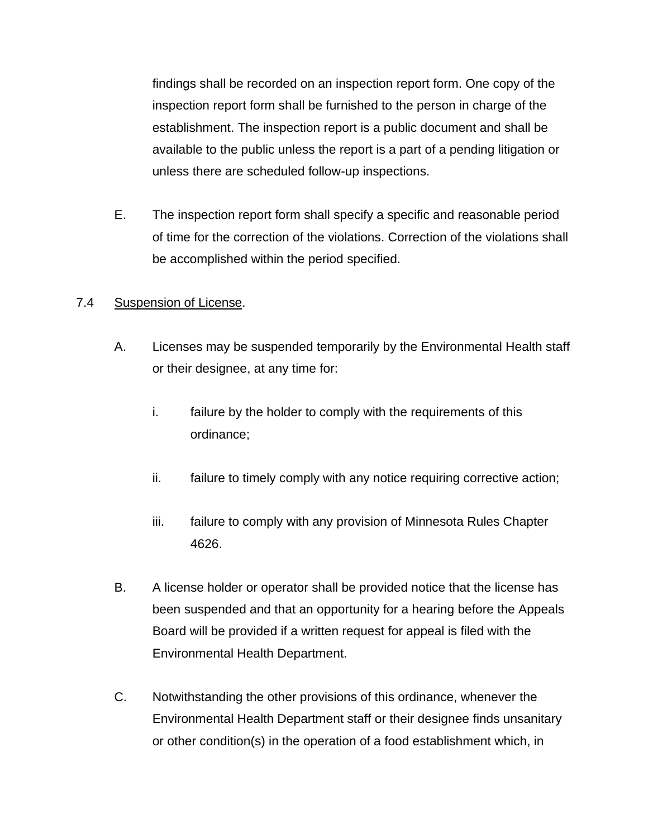findings shall be recorded on an inspection report form. One copy of the inspection report form shall be furnished to the person in charge of the establishment. The inspection report is a public document and shall be available to the public unless the report is a part of a pending litigation or unless there are scheduled follow-up inspections.

E. The inspection report form shall specify a specific and reasonable period of time for the correction of the violations. Correction of the violations shall be accomplished within the period specified.

# 7.4 Suspension of License.

- A. Licenses may be suspended temporarily by the Environmental Health staff or their designee, at any time for:
	- i. failure by the holder to comply with the requirements of this ordinance;
	- ii. failure to timely comply with any notice requiring corrective action;
	- iii. failure to comply with any provision of Minnesota Rules Chapter 4626.
- B. A license holder or operator shall be provided notice that the license has been suspended and that an opportunity for a hearing before the Appeals Board will be provided if a written request for appeal is filed with the Environmental Health Department.
- C. Notwithstanding the other provisions of this ordinance, whenever the Environmental Health Department staff or their designee finds unsanitary or other condition(s) in the operation of a food establishment which, in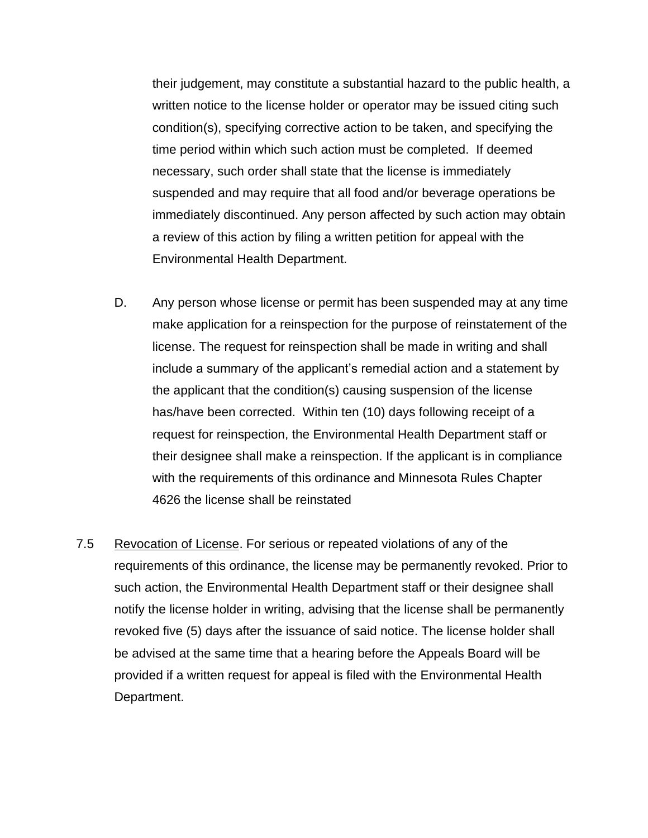their judgement, may constitute a substantial hazard to the public health, a written notice to the license holder or operator may be issued citing such condition(s), specifying corrective action to be taken, and specifying the time period within which such action must be completed. If deemed necessary, such order shall state that the license is immediately suspended and may require that all food and/or beverage operations be immediately discontinued. Any person affected by such action may obtain a review of this action by filing a written petition for appeal with the Environmental Health Department.

- D. Any person whose license or permit has been suspended may at any time make application for a reinspection for the purpose of reinstatement of the license. The request for reinspection shall be made in writing and shall include a summary of the applicant's remedial action and a statement by the applicant that the condition(s) causing suspension of the license has/have been corrected. Within ten (10) days following receipt of a request for reinspection, the Environmental Health Department staff or their designee shall make a reinspection. If the applicant is in compliance with the requirements of this ordinance and Minnesota Rules Chapter 4626 the license shall be reinstated
- 7.5 Revocation of License. For serious or repeated violations of any of the requirements of this ordinance, the license may be permanently revoked. Prior to such action, the Environmental Health Department staff or their designee shall notify the license holder in writing, advising that the license shall be permanently revoked five (5) days after the issuance of said notice. The license holder shall be advised at the same time that a hearing before the Appeals Board will be provided if a written request for appeal is filed with the Environmental Health Department.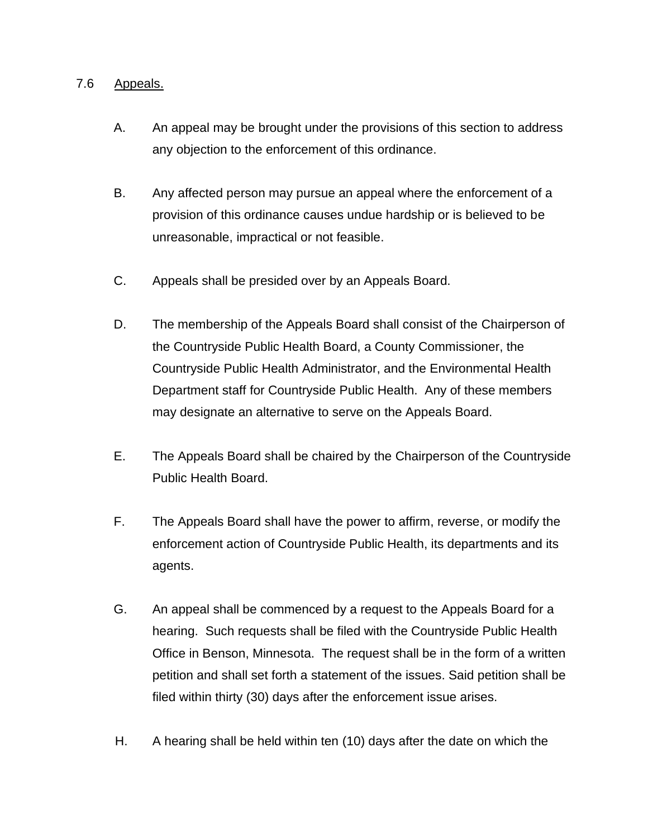#### 7.6 Appeals.

- A. An appeal may be brought under the provisions of this section to address any objection to the enforcement of this ordinance.
- B. Any affected person may pursue an appeal where the enforcement of a provision of this ordinance causes undue hardship or is believed to be unreasonable, impractical or not feasible.
- C. Appeals shall be presided over by an Appeals Board.
- D. The membership of the Appeals Board shall consist of the Chairperson of the Countryside Public Health Board, a County Commissioner, the Countryside Public Health Administrator, and the Environmental Health Department staff for Countryside Public Health. Any of these members may designate an alternative to serve on the Appeals Board.
- E. The Appeals Board shall be chaired by the Chairperson of the Countryside Public Health Board.
- F. The Appeals Board shall have the power to affirm, reverse, or modify the enforcement action of Countryside Public Health, its departments and its agents.
- G. An appeal shall be commenced by a request to the Appeals Board for a hearing. Such requests shall be filed with the Countryside Public Health Office in Benson, Minnesota. The request shall be in the form of a written petition and shall set forth a statement of the issues. Said petition shall be filed within thirty (30) days after the enforcement issue arises.
- H. A hearing shall be held within ten (10) days after the date on which the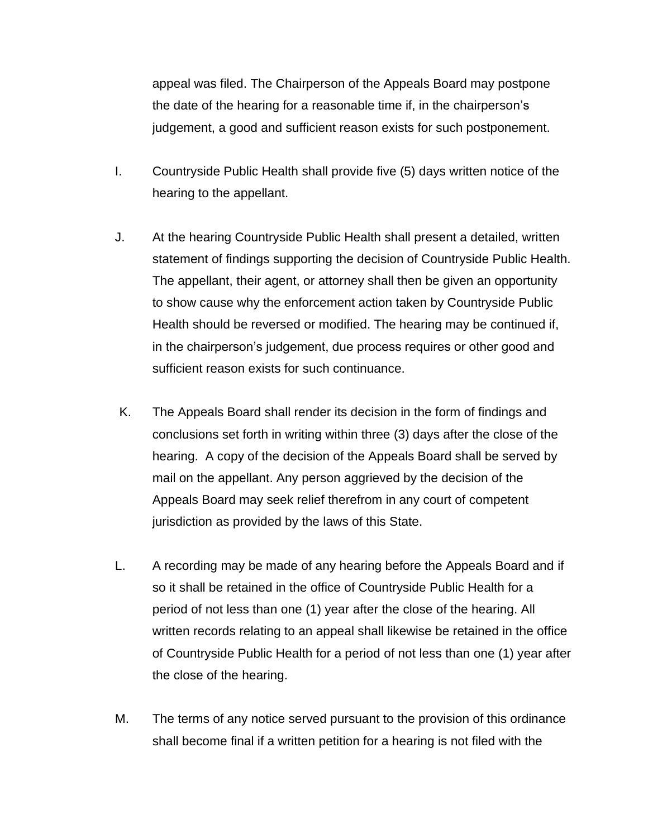appeal was filed. The Chairperson of the Appeals Board may postpone the date of the hearing for a reasonable time if, in the chairperson's judgement, a good and sufficient reason exists for such postponement.

- I. Countryside Public Health shall provide five (5) days written notice of the hearing to the appellant.
- J. At the hearing Countryside Public Health shall present a detailed, written statement of findings supporting the decision of Countryside Public Health. The appellant, their agent, or attorney shall then be given an opportunity to show cause why the enforcement action taken by Countryside Public Health should be reversed or modified. The hearing may be continued if, in the chairperson's judgement, due process requires or other good and sufficient reason exists for such continuance.
- K. The Appeals Board shall render its decision in the form of findings and conclusions set forth in writing within three (3) days after the close of the hearing. A copy of the decision of the Appeals Board shall be served by mail on the appellant. Any person aggrieved by the decision of the Appeals Board may seek relief therefrom in any court of competent jurisdiction as provided by the laws of this State.
- L. A recording may be made of any hearing before the Appeals Board and if so it shall be retained in the office of Countryside Public Health for a period of not less than one (1) year after the close of the hearing. All written records relating to an appeal shall likewise be retained in the office of Countryside Public Health for a period of not less than one (1) year after the close of the hearing.
- M. The terms of any notice served pursuant to the provision of this ordinance shall become final if a written petition for a hearing is not filed with the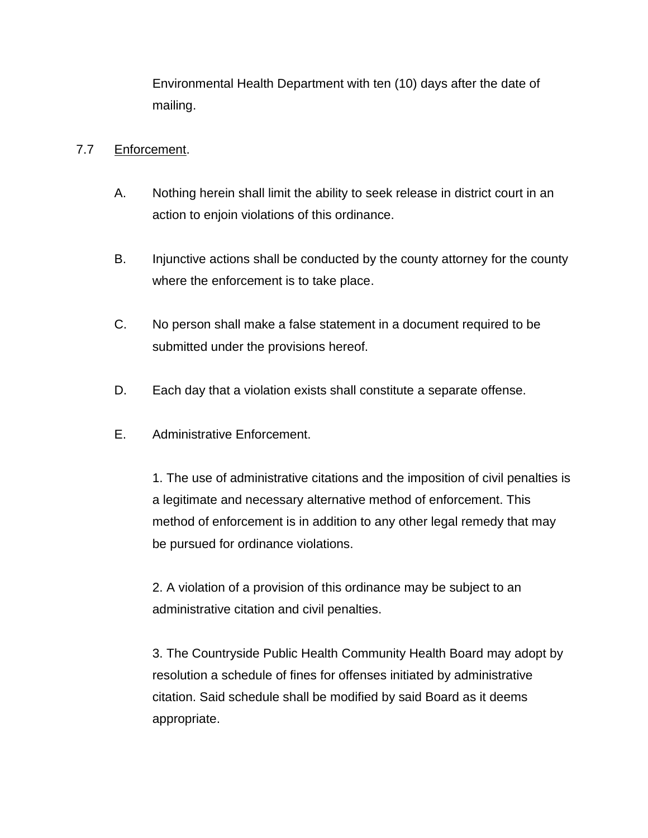Environmental Health Department with ten (10) days after the date of mailing.

# 7.7 Enforcement.

- A. Nothing herein shall limit the ability to seek release in district court in an action to enjoin violations of this ordinance.
- B. Injunctive actions shall be conducted by the county attorney for the county where the enforcement is to take place.
- C. No person shall make a false statement in a document required to be submitted under the provisions hereof.
- D. Each day that a violation exists shall constitute a separate offense.
- E. Administrative Enforcement.

1. The use of administrative citations and the imposition of civil penalties is a legitimate and necessary alternative method of enforcement. This method of enforcement is in addition to any other legal remedy that may be pursued for ordinance violations.

2. A violation of a provision of this ordinance may be subject to an administrative citation and civil penalties.

3. The Countryside Public Health Community Health Board may adopt by resolution a schedule of fines for offenses initiated by administrative citation. Said schedule shall be modified by said Board as it deems appropriate.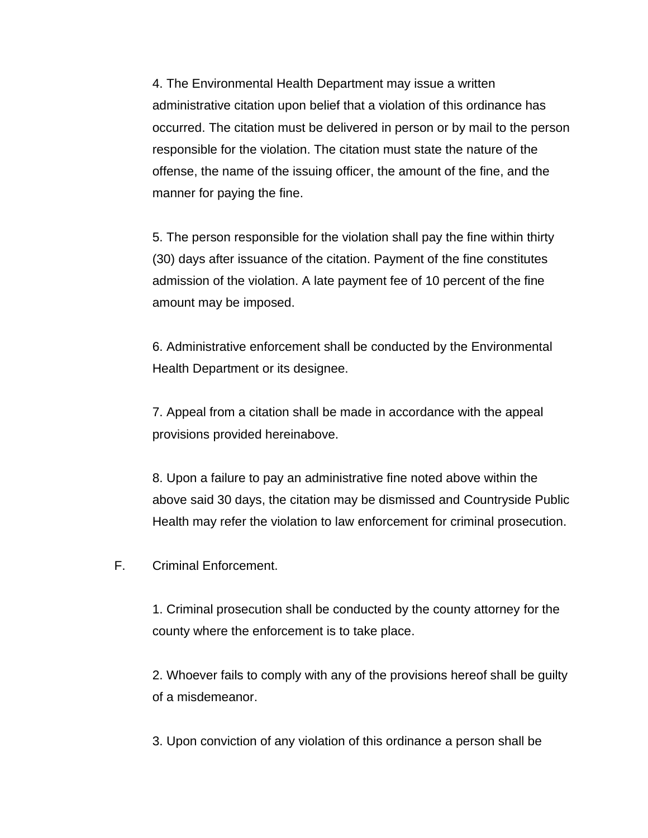4. The Environmental Health Department may issue a written administrative citation upon belief that a violation of this ordinance has occurred. The citation must be delivered in person or by mail to the person responsible for the violation. The citation must state the nature of the offense, the name of the issuing officer, the amount of the fine, and the manner for paying the fine.

5. The person responsible for the violation shall pay the fine within thirty (30) days after issuance of the citation. Payment of the fine constitutes admission of the violation. A late payment fee of 10 percent of the fine amount may be imposed.

6. Administrative enforcement shall be conducted by the Environmental Health Department or its designee.

7. Appeal from a citation shall be made in accordance with the appeal provisions provided hereinabove.

8. Upon a failure to pay an administrative fine noted above within the above said 30 days, the citation may be dismissed and Countryside Public Health may refer the violation to law enforcement for criminal prosecution.

F. Criminal Enforcement.

1. Criminal prosecution shall be conducted by the county attorney for the county where the enforcement is to take place.

2. Whoever fails to comply with any of the provisions hereof shall be guilty of a misdemeanor.

3. Upon conviction of any violation of this ordinance a person shall be